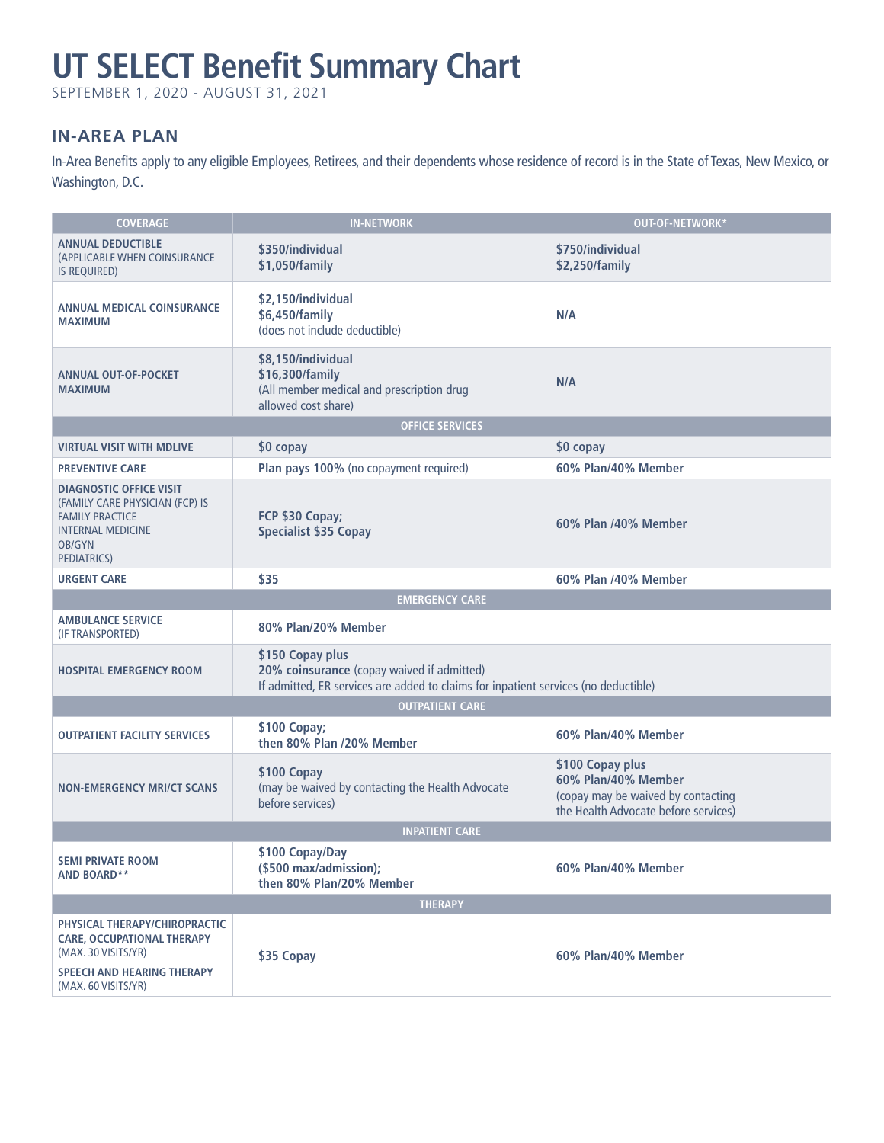# **UT SELECT Benefit Summary Chart**

SEPTEMBER 1, 2020 - AUGUST 31, 2021

# **IN-AREA PLAN**

In-Area Benefits apply to any eligible Employees, Retirees, and their dependents whose residence of record is in the State of Texas, New Mexico, or Washington, D.C.

| <b>COVERAGE</b>                                                                                                                                  | <b>IN-NETWORK</b>                                                                                                                                     | OUT-OF-NETWORK*                                                                                                       |  |  |
|--------------------------------------------------------------------------------------------------------------------------------------------------|-------------------------------------------------------------------------------------------------------------------------------------------------------|-----------------------------------------------------------------------------------------------------------------------|--|--|
| <b>ANNUAL DEDUCTIBLE</b><br>(APPLICABLE WHEN COINSURANCE<br><b>IS REQUIRED)</b>                                                                  | \$350/individual<br>\$1,050/family                                                                                                                    | \$750/individual<br>\$2,250/family                                                                                    |  |  |
| <b>ANNUAL MEDICAL COINSURANCE</b><br><b>MAXIMUM</b>                                                                                              | \$2,150/individual<br>\$6,450/family<br>(does not include deductible)                                                                                 | N/A                                                                                                                   |  |  |
| <b>ANNUAL OUT-OF-POCKET</b><br><b>MAXIMUM</b>                                                                                                    | \$8,150/individual<br>\$16,300/family<br>(All member medical and prescription drug<br>allowed cost share)                                             | N/A                                                                                                                   |  |  |
|                                                                                                                                                  | <b>OFFICE SERVICES</b>                                                                                                                                |                                                                                                                       |  |  |
| <b>VIRTUAL VISIT WITH MDLIVE</b>                                                                                                                 | \$0 copay                                                                                                                                             | \$0 copay                                                                                                             |  |  |
| <b>PREVENTIVE CARE</b>                                                                                                                           | Plan pays 100% (no copayment required)                                                                                                                | 60% Plan/40% Member                                                                                                   |  |  |
| <b>DIAGNOSTIC OFFICE VISIT</b><br>(FAMILY CARE PHYSICIAN (FCP) IS<br><b>FAMILY PRACTICE</b><br><b>INTERNAL MEDICINE</b><br>OB/GYN<br>PEDIATRICS) | FCP \$30 Copay;<br><b>Specialist \$35 Copay</b>                                                                                                       | 60% Plan /40% Member                                                                                                  |  |  |
| <b>URGENT CARE</b>                                                                                                                               | \$35                                                                                                                                                  | 60% Plan /40% Member                                                                                                  |  |  |
|                                                                                                                                                  | <b>EMERGENCY CARE</b>                                                                                                                                 |                                                                                                                       |  |  |
| <b>AMBULANCE SERVICE</b><br>(IF TRANSPORTED)                                                                                                     | 80% Plan/20% Member                                                                                                                                   |                                                                                                                       |  |  |
| <b>HOSPITAL EMERGENCY ROOM</b>                                                                                                                   | \$150 Copay plus<br>20% coinsurance (copay waived if admitted)<br>If admitted, ER services are added to claims for inpatient services (no deductible) |                                                                                                                       |  |  |
| <b>OUTPATIENT CARE</b>                                                                                                                           |                                                                                                                                                       |                                                                                                                       |  |  |
| <b>OUTPATIENT FACILITY SERVICES</b>                                                                                                              | \$100 Copay;<br>then 80% Plan /20% Member                                                                                                             | 60% Plan/40% Member                                                                                                   |  |  |
| <b>NON-EMERGENCY MRI/CT SCANS</b>                                                                                                                | \$100 Copay<br>(may be waived by contacting the Health Advocate<br>before services)                                                                   | \$100 Copay plus<br>60% Plan/40% Member<br>(copay may be waived by contacting<br>the Health Advocate before services) |  |  |
| <b>INPATIENT CARE</b>                                                                                                                            |                                                                                                                                                       |                                                                                                                       |  |  |
| <b>SEMI PRIVATE ROOM</b><br><b>AND BOARD**</b>                                                                                                   | \$100 Copay/Day<br>(\$500 max/admission);<br>then 80% Plan/20% Member                                                                                 | 60% Plan/40% Member                                                                                                   |  |  |
| <b>THERAPY</b>                                                                                                                                   |                                                                                                                                                       |                                                                                                                       |  |  |
| PHYSICAL THERAPY/CHIROPRACTIC<br><b>CARE, OCCUPATIONAL THERAPY</b><br>(MAX. 30 VISITS/YR)                                                        | \$35 Copay                                                                                                                                            | 60% Plan/40% Member                                                                                                   |  |  |
| <b>SPEECH AND HEARING THERAPY</b><br>(MAX. 60 VISITS/YR)                                                                                         |                                                                                                                                                       |                                                                                                                       |  |  |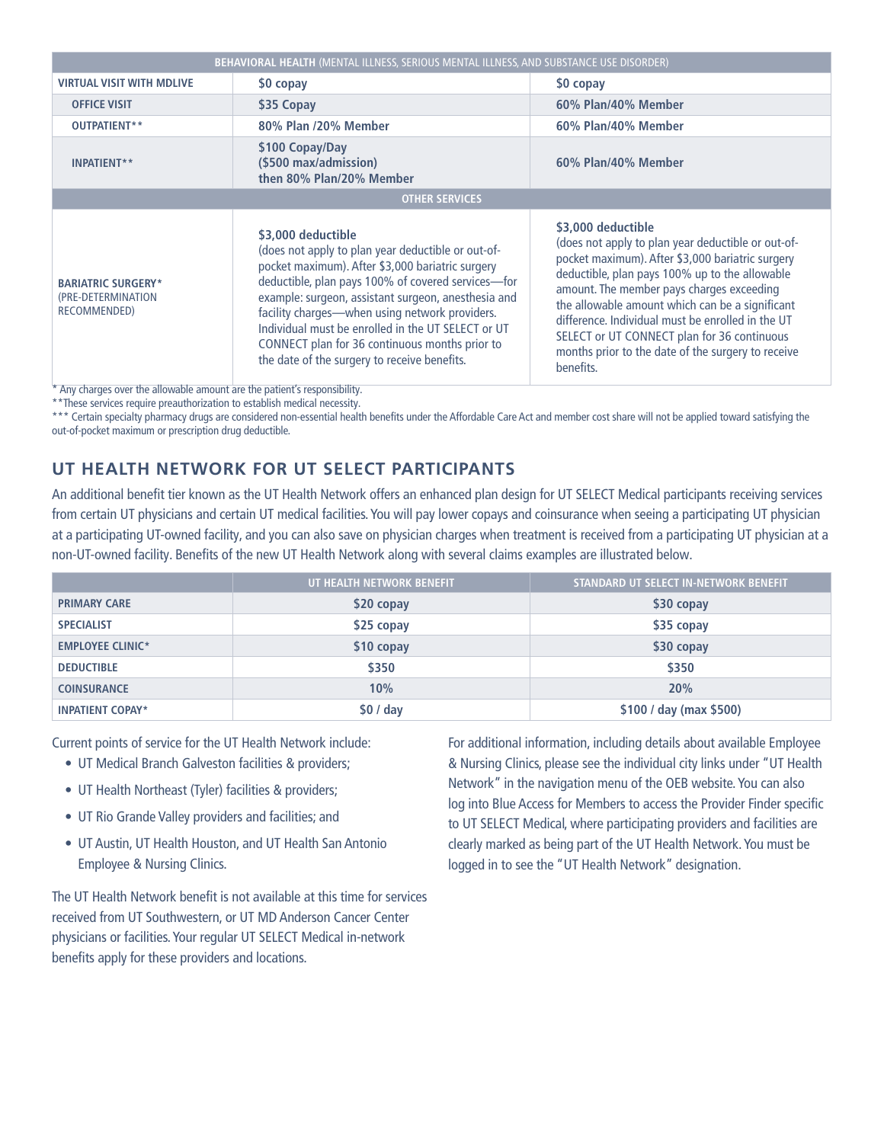| <b>BEHAVIORAL HEALTH (MENTAL ILLNESS, SERIOUS MENTAL ILLNESS, AND SUBSTANCE USE DISORDER)</b> |                                                                                                                                                                                                                                                                                                                                                                                                                                                     |                                                                                                                                                                                                                                                                                                                                                                                                                                                       |  |  |
|-----------------------------------------------------------------------------------------------|-----------------------------------------------------------------------------------------------------------------------------------------------------------------------------------------------------------------------------------------------------------------------------------------------------------------------------------------------------------------------------------------------------------------------------------------------------|-------------------------------------------------------------------------------------------------------------------------------------------------------------------------------------------------------------------------------------------------------------------------------------------------------------------------------------------------------------------------------------------------------------------------------------------------------|--|--|
| <b>VIRTUAL VISIT WITH MDLIVE</b>                                                              | \$0 copay                                                                                                                                                                                                                                                                                                                                                                                                                                           | \$0 copay                                                                                                                                                                                                                                                                                                                                                                                                                                             |  |  |
| <b>OFFICE VISIT</b>                                                                           | \$35 Copay                                                                                                                                                                                                                                                                                                                                                                                                                                          | 60% Plan/40% Member                                                                                                                                                                                                                                                                                                                                                                                                                                   |  |  |
| OUTPATIENT**                                                                                  | 80% Plan /20% Member                                                                                                                                                                                                                                                                                                                                                                                                                                | 60% Plan/40% Member                                                                                                                                                                                                                                                                                                                                                                                                                                   |  |  |
| <b>INPATIENT**</b>                                                                            | \$100 Copay/Day<br>(\$500 max/admission)<br>then 80% Plan/20% Member                                                                                                                                                                                                                                                                                                                                                                                | 60% Plan/40% Member                                                                                                                                                                                                                                                                                                                                                                                                                                   |  |  |
| <b>OTHER SERVICES</b>                                                                         |                                                                                                                                                                                                                                                                                                                                                                                                                                                     |                                                                                                                                                                                                                                                                                                                                                                                                                                                       |  |  |
| <b>BARIATRIC SURGERY*</b><br>(PRE-DETERMINATION<br>RECOMMENDED)                               | \$3,000 deductible<br>(does not apply to plan year deductible or out-of-<br>pocket maximum). After \$3,000 bariatric surgery<br>deductible, plan pays 100% of covered services-for<br>example: surgeon, assistant surgeon, anesthesia and<br>facility charges-when using network providers.<br>Individual must be enrolled in the UT SELECT or UT<br>CONNECT plan for 36 continuous months prior to<br>the date of the surgery to receive benefits. | \$3,000 deductible<br>(does not apply to plan year deductible or out-of-<br>pocket maximum). After \$3,000 bariatric surgery<br>deductible, plan pays 100% up to the allowable<br>amount. The member pays charges exceeding<br>the allowable amount which can be a significant<br>difference. Individual must be enrolled in the UT<br>SELECT or UT CONNECT plan for 36 continuous<br>months prior to the date of the surgery to receive<br>benefits. |  |  |

\* Any charges over the allowable amount are the patient's responsibility.

\*\*These services require preauthorization to establish medical necessity.

\*\*\* Certain specialty pharmacy drugs are considered non-essential health benefits under the Affordable Care Act and member cost share will not be applied toward satisfying the out-of-pocket maximum or prescription drug deductible.

# **UT HEALTH NETWORK FOR UT SELECT PARTICIPANTS**

An additional benefit tier known as the UT Health Network offers an enhanced plan design for UT SELECT Medical participants receiving services from certain UT physicians and certain UT medical facilities. You will pay lower copays and coinsurance when seeing a participating UT physician at a participating UT-owned facility, and you can also save on physician charges when treatment is received from a participating UT physician at a non-UT-owned facility. Benefits of the new UT Health Network along with several claims examples are illustrated below.

|                         | UT HEALTH NETWORK BENEFIT | STANDARD UT SELECT IN-NETWORK BENEFIT |
|-------------------------|---------------------------|---------------------------------------|
| <b>PRIMARY CARE</b>     | \$20 copay                | \$30 copay                            |
| <b>SPECIALIST</b>       | \$25 copay                | \$35 copay                            |
| <b>EMPLOYEE CLINIC*</b> | \$10 copay                | \$30 copay                            |
| <b>DEDUCTIBLE</b>       | \$350                     | \$350                                 |
| <b>COINSURANCE</b>      | 10%                       | 20%                                   |
| <b>INPATIENT COPAY*</b> | \$0/day                   | \$100 / day (max \$500)               |

Current points of service for the UT Health Network include:

- UT Medical Branch Galveston facilities & providers;
- UT Health Northeast (Tyler) facilities & providers;
- UT Rio Grande Valley providers and facilities; and
- UT Austin, UT Health Houston, and UT Health San Antonio Employee & Nursing Clinics.

The UT Health Network benefit is not available at this time for services received from UT Southwestern, or UT MD Anderson Cancer Center physicians or facilities. Your regular UT SELECT Medical in-network benefits apply for these providers and locations.

For additional information, including details about available Employee & Nursing Clinics, please see the individual city links under "UT Health Network" in the navigation menu of the OEB website. You can also log into Blue Access for Members to access the Provider Finder specific to UT SELECT Medical, where participating providers and facilities are clearly marked as being part of the UT Health Network. You must be logged in to see the "UT Health Network" designation.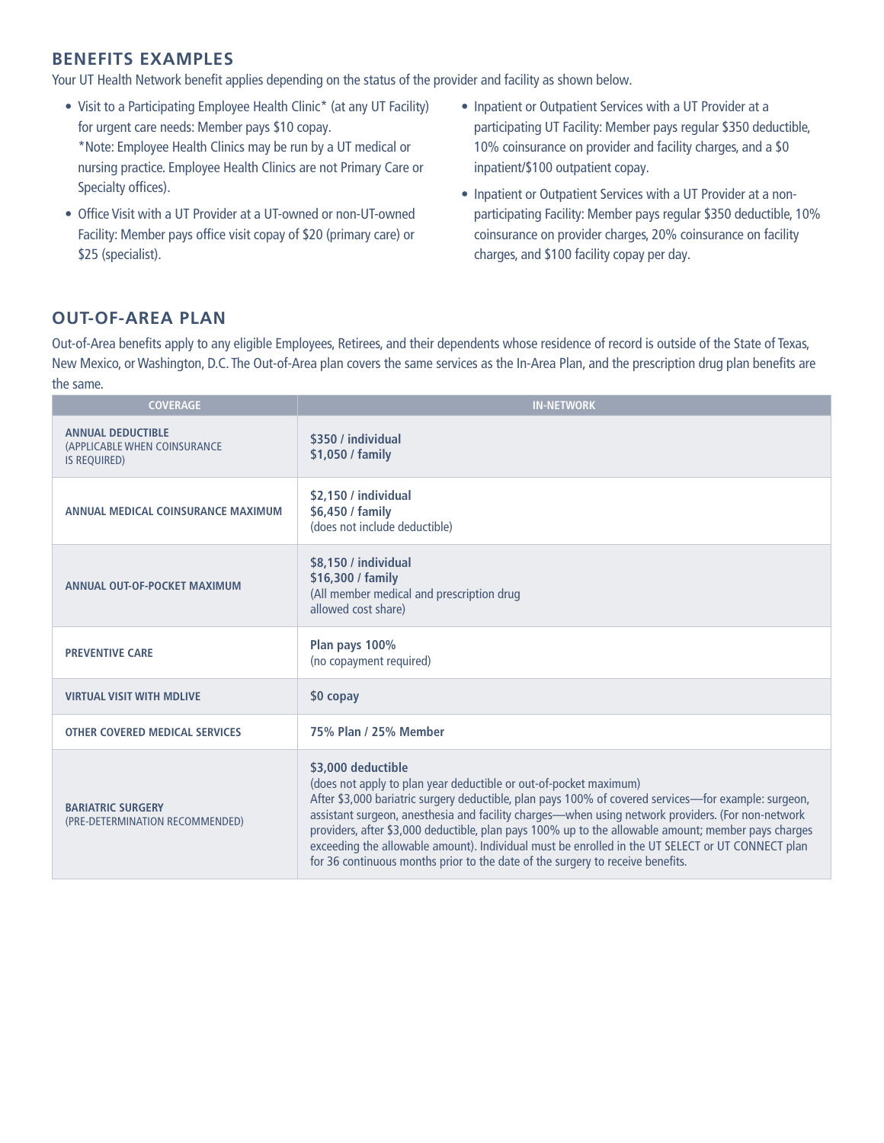## **BENEFITS EXAMPLES**

Your UT Health Network benefit applies depending on the status of the provider and facility as shown below.

- Visit to a Participating Employee Health Clinic\* (at any UT Facility) for urgent care needs: Member pays \$10 copay. \*Note: Employee Health Clinics may be run by a UT medical or nursing practice. Employee Health Clinics are not Primary Care or Specialty offices).
- Office Visit with a UT Provider at a UT-owned or non-UT-owned Facility: Member pays office visit copay of \$20 (primary care) or \$25 (specialist).
- Inpatient or Outpatient Services with a UT Provider at a participating UT Facility: Member pays regular \$350 deductible, 10% coinsurance on provider and facility charges, and a \$0 inpatient/\$100 outpatient copay.
- Inpatient or Outpatient Services with a UT Provider at a nonparticipating Facility: Member pays regular \$350 deductible, 10% coinsurance on provider charges, 20% coinsurance on facility charges, and \$100 facility copay per day.

## **OUT-OF-AREA PLAN**

Out-of-Area benefits apply to any eligible Employees, Retirees, and their dependents whose residence of record is outside of the State of Texas, New Mexico, or Washington, D.C. The Out-of-Area plan covers the same services as the In-Area Plan, and the prescription drug plan benefits are the same.

| <b>COVERAGE</b>                                                                 | <b>IN-NETWORK</b>                                                                                                                                                                                                                                                                                                                                                                                                                                                                                                                                                                                 |
|---------------------------------------------------------------------------------|---------------------------------------------------------------------------------------------------------------------------------------------------------------------------------------------------------------------------------------------------------------------------------------------------------------------------------------------------------------------------------------------------------------------------------------------------------------------------------------------------------------------------------------------------------------------------------------------------|
| <b>ANNUAL DEDUCTIBLE</b><br>(APPLICABLE WHEN COINSURANCE<br><b>IS REQUIRED)</b> | \$350 / individual<br>\$1,050 / family                                                                                                                                                                                                                                                                                                                                                                                                                                                                                                                                                            |
| ANNUAL MEDICAL COINSURANCE MAXIMUM                                              | \$2.150 / individual<br>\$6,450 / family<br>(does not include deductible)                                                                                                                                                                                                                                                                                                                                                                                                                                                                                                                         |
| ANNUAL OUT-OF-POCKET MAXIMUM                                                    | \$8,150 / individual<br>\$16,300 / family<br>(All member medical and prescription drug<br>allowed cost share)                                                                                                                                                                                                                                                                                                                                                                                                                                                                                     |
| <b>PREVENTIVE CARE</b>                                                          | Plan pays 100%<br>(no copayment required)                                                                                                                                                                                                                                                                                                                                                                                                                                                                                                                                                         |
| <b>VIRTUAL VISIT WITH MDLIVE</b>                                                | \$0 copay                                                                                                                                                                                                                                                                                                                                                                                                                                                                                                                                                                                         |
| <b>OTHER COVERED MEDICAL SERVICES</b>                                           | 75% Plan / 25% Member                                                                                                                                                                                                                                                                                                                                                                                                                                                                                                                                                                             |
| <b>BARIATRIC SURGERY</b><br>(PRE-DETERMINATION RECOMMENDED)                     | \$3,000 deductible<br>(does not apply to plan year deductible or out-of-pocket maximum)<br>After \$3,000 bariatric surgery deductible, plan pays 100% of covered services—for example: surgeon,<br>assistant surgeon, anesthesia and facility charges—when using network providers. (For non-network<br>providers, after \$3,000 deductible, plan pays 100% up to the allowable amount; member pays charges<br>exceeding the allowable amount). Individual must be enrolled in the UT SELECT or UT CONNECT plan<br>for 36 continuous months prior to the date of the surgery to receive benefits. |